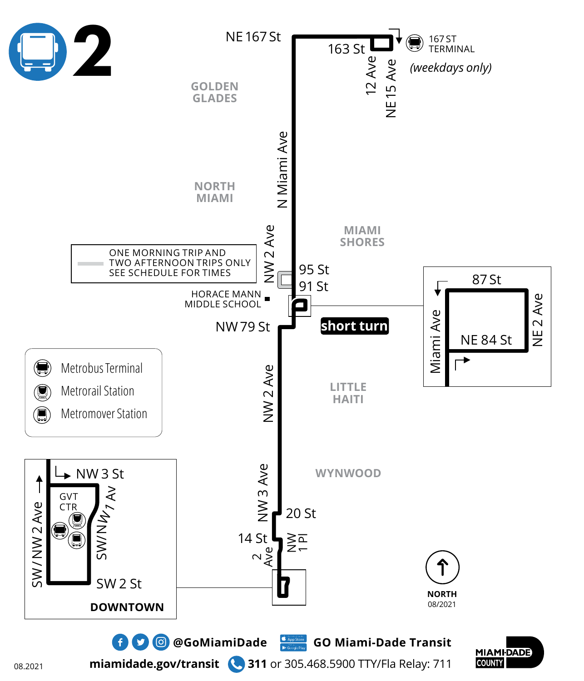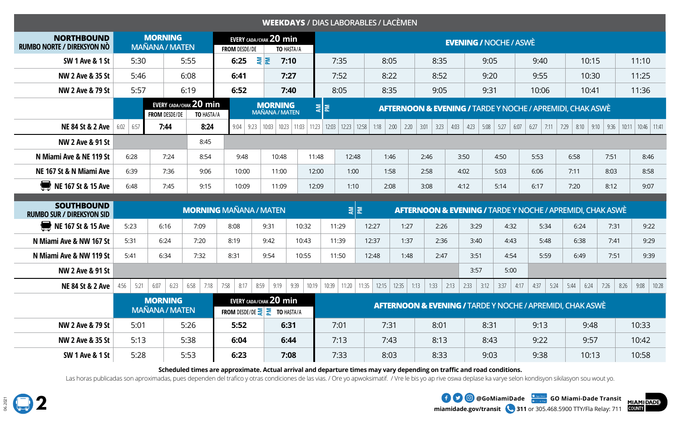| <b>WEEKDAYS / DIAS LABORABLES / LACÈMEN</b>           |              |                                         |                                      |                                                      |                                         |                                         |                               |                        |               |                                |                                                                      |              |               |                                                                      |                                                                      |       |               |  |  |  |  |
|-------------------------------------------------------|--------------|-----------------------------------------|--------------------------------------|------------------------------------------------------|-----------------------------------------|-----------------------------------------|-------------------------------|------------------------|---------------|--------------------------------|----------------------------------------------------------------------|--------------|---------------|----------------------------------------------------------------------|----------------------------------------------------------------------|-------|---------------|--|--|--|--|
| <b>NORTHBOUND</b><br>RUMBO NORTE / DIREKSYON NÒ       |              | <b>MORNING</b><br><b>MAÑANA / MATEN</b> |                                      | <b>FROM DESDE/DE</b>                                 | EVERY CADA/CHAK 20 min                  | TO HASTA/A                              | <b>EVENING / NOCHE / ASWÈ</b> |                        |               |                                |                                                                      |              |               |                                                                      |                                                                      |       |               |  |  |  |  |
| <b>SW 1 Ave &amp; 1 St</b>                            | 5:30         | 5:55                                    |                                      | 6:25                                                 | <b>AN</b>                               | 7:10                                    | 7:35                          |                        | 8:05          | 8:35                           |                                                                      | 9:05         | 9:40          | 10:15                                                                |                                                                      |       | 11:10         |  |  |  |  |
| NW 2 Ave & 35 St                                      | 5:46         |                                         | 6:08                                 | 6:41                                                 |                                         | 7:27                                    | 7:52                          |                        | 8:22          | 8:52                           |                                                                      | 9:20         | 9:55          | 10:30                                                                |                                                                      |       | 11:25         |  |  |  |  |
| NW 2 Ave & 79 St                                      | 5:57         |                                         | 6:19                                 | 6:52                                                 | 7:40                                    |                                         | 8:05                          |                        | 8:35          | 9:05                           |                                                                      | 9:31         | 10:06         | 10:41                                                                |                                                                      |       | 11:36         |  |  |  |  |
|                                                       |              | <b>FROM DESDE/DE</b>                    | EVERY CADA/CHAK 20 min<br>TO HASTA/A |                                                      | <b>MORNING</b><br><b>MAÑANA / MATEN</b> |                                         | 통                             |                        |               |                                |                                                                      |              |               |                                                                      | <b>AFTERNOON &amp; EVENING / TARDE Y NOCHE / APREMIDI, CHAK ASWÈ</b> |       |               |  |  |  |  |
| NE 84 St & 2 Ave                                      | $6:02$ 6:57  | 7:44                                    | 8:24                                 | $9:04$   9:23                                        |                                         | $10:03$   10:23   11:03   11:23   12:03 |                               | $12:23$   12:58   1:18 | 2:00<br>2:20  | $3:23$<br>$\vert$ 3:01<br>4:03 | $4:23$ 5:08                                                          | 5:27<br>6:07 | 6:27<br> 7:11 | 7:29   8:10   9:10                                                   | 9:36                                                                 | 10:11 | $10:46$ 11:41 |  |  |  |  |
| <b>NW 2 Ave &amp; 91 St</b>                           |              |                                         | 8:45                                 |                                                      |                                         |                                         |                               |                        |               |                                |                                                                      |              |               |                                                                      |                                                                      |       |               |  |  |  |  |
| N Miami Ave & NE 119 St                               | 6:28<br>7:24 |                                         | 8:54                                 | 9:48                                                 | 10:48                                   | 11:48                                   | 12:48                         |                        | 1:46          | 2:46                           | 3:50                                                                 | 4:50         | 5:53          | 6:58                                                                 | 7:51                                                                 |       | 8:46          |  |  |  |  |
| NE 167 St & N Miami Ave                               | 6:39         | 7:36                                    |                                      | 10:00                                                | 11:00                                   | 12:00                                   | 1:00                          |                        | 1:58          | 2:58                           | 4:02                                                                 | 5:03         | 6:06          | 7:11                                                                 | 8:03                                                                 |       | 8:58          |  |  |  |  |
| NE 167 St & 15 Ave                                    | 6:48         | 7:45<br>9:15                            |                                      | 10:09                                                | 11:09                                   | 12:09                                   | 1:10                          |                        | 2:08          | 3:08                           | 4:12                                                                 | 5:14         | 6:17          | 7:20                                                                 | 8:12                                                                 |       | 9:07          |  |  |  |  |
| <b>SOUTHBOUND</b><br><b>RUMBO SUR / DIREKSYON SID</b> |              |                                         |                                      | <b>MORNING MAÑANA / MATEN</b>                        |                                         |                                         |                               | 통                      |               |                                | <b>AFTERNOON &amp; EVENING / TARDE Y NOCHE / APREMIDI, CHAK ASWÈ</b> |              |               |                                                                      |                                                                      |       |               |  |  |  |  |
| NE 167 St & 15 Ave                                    | 5:23         | 6:16                                    | 7:09                                 | 8:08                                                 | 9:31                                    | 10:32                                   | 11:29                         | 12:27                  | 1:27          | 2:26                           | 3:29                                                                 | 4:32         | 5:34          | 6:24                                                                 | 7:31                                                                 |       | 9:22          |  |  |  |  |
| N Miami Ave & NW 167 St                               | 5:31         | 6:24                                    | 7:20                                 | 8:19                                                 | 9:42                                    | 10:43                                   | 11:39                         | 12:37                  | 1:37          | 2:36                           | 3:40                                                                 | 4:43         | 5:48          | 6:38                                                                 | 7:41                                                                 |       | 9:29          |  |  |  |  |
| N Miami Ave & NW 119 St                               | 5:41         | 6:34                                    | 7:32                                 | 8:31                                                 | 9:54                                    | 10:55                                   | 11:50                         | 12:48                  | 1:48          | 2:47                           | 3:51                                                                 | 4:54         | 5:59          | 6:49                                                                 | 7:51                                                                 |       | 9:39          |  |  |  |  |
| <b>NW 2 Ave &amp; 91 St</b>                           |              |                                         |                                      |                                                      |                                         |                                         |                               |                        |               |                                | 3:57                                                                 | 5:00         |               |                                                                      |                                                                      |       |               |  |  |  |  |
| <b>NE 84 St &amp; 2 Ave</b>                           | 4:56<br>5:21 | 6:07<br>6:23                            | 6:58<br>7:18                         | 7:58<br>8:17                                         | 8:59<br>9:19                            | 9:39<br>10:19                           | 10:39<br>11:20                | 11:35                  | $12:15$ 12:35 | 1:13<br>1:33<br>2:13           | 2:33<br>3:12                                                         | 3:37<br>4:17 | 4:37<br>5:24  | 5:44<br>6:24                                                         | 7:26                                                                 | 8:26  | 10:28<br>9:08 |  |  |  |  |
|                                                       |              | <b>MORNING</b><br><b>MAÑANA / MATEN</b> |                                      | <b>FROM</b> DESDE/DE $\geq$ $\geq$ <b>TO</b> HASTA/A | EVERY CADA/CHAK 20 min                  |                                         |                               |                        |               |                                |                                                                      |              |               | <b>AFTERNOON &amp; EVENING / TARDE Y NOCHE / APREMIDI, CHAK ASWÈ</b> |                                                                      |       |               |  |  |  |  |
| <b>NW 2 Ave &amp; 79 St</b>                           | 5:01         |                                         | 5:26                                 | 5:52                                                 |                                         | 6:31                                    | 7:01                          |                        | 7:31          | 8:01                           |                                                                      | 8:31         | 9:13          | 9:48                                                                 |                                                                      |       | 10:33         |  |  |  |  |
| NW 2 Ave & 35 St                                      | 5:13         |                                         | 5:38                                 | 6:04                                                 |                                         | 6:44                                    | 7:13                          |                        | 7:43          | 8:13                           |                                                                      | 8:43         | 9:22          | 9:57                                                                 |                                                                      | 10:42 |               |  |  |  |  |
| <b>SW 1 Ave &amp; 1 St</b>                            | 5:28         |                                         | 5:53                                 | 6:23                                                 |                                         | 7:08                                    | 7:33                          |                        | 8:03          | 8:33                           |                                                                      | 9:03         | 9:38          | 10:13                                                                |                                                                      |       | 10:58         |  |  |  |  |

**Scheduled times are approximate. Actual arrival and departure times may vary depending on traffic and road conditions.**

Las horas publicadas son aproximadas, pues dependen del trafico y otras condiciones de las vias. / Ore yo apwoksimatif. / Vre le bis yo ap rive oswa deplase ka varye selon kondisyon sikilasyon sou wout yo.

**miamidade.gov/transit 311** or 305.468.5900 TTY/Fla Relay: 711 **EXAMPLE OF A GOOD COMIAMIDAde** GO Miami-Dade Transit

**MIAMI DADE**